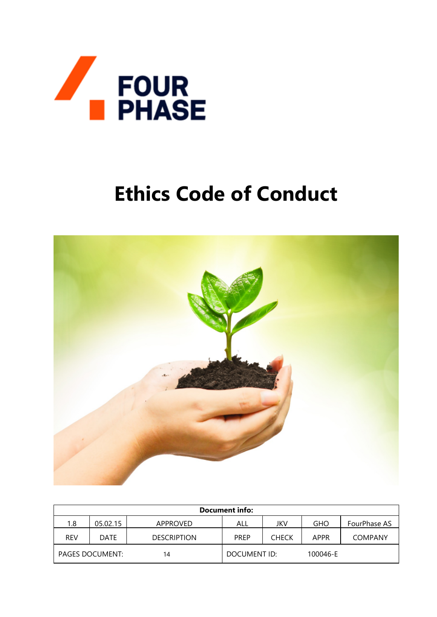

# **Ethics Code of Conduct**



| <b>Document info:</b>  |          |                    |              |              |          |                     |  |  |  |
|------------------------|----------|--------------------|--------------|--------------|----------|---------------------|--|--|--|
| 1.8                    | 05.02.15 | APPROVED           | ALL          | JKV          | GHO      | <b>FourPhase AS</b> |  |  |  |
| <b>REV</b>             | DATE     | <b>DESCRIPTION</b> | <b>PREP</b>  | <b>CHECK</b> | APPR     | <b>COMPANY</b>      |  |  |  |
| <b>PAGES DOCUMENT:</b> |          | 14                 | DOCUMENT ID: |              | 100046-E |                     |  |  |  |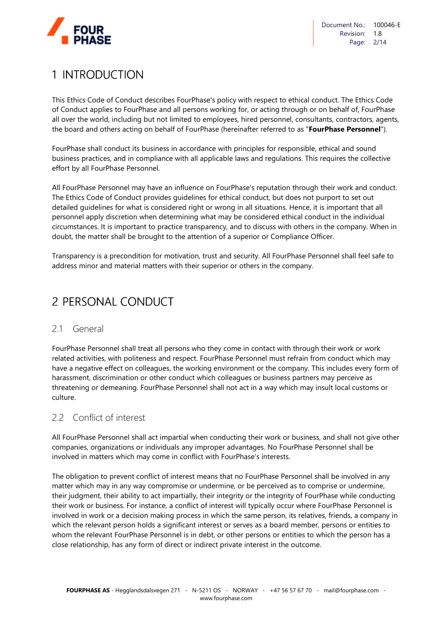

# 1 INTRODUCTION

This Ethics Code of Conduct describes FourPhase's policy with respect to ethical conduct. The Ethics Code of Conduct applies to FourPhase and all persons working for, or acting through or on behalf of, FourPhase all over the world, including but not limited to employees, hired personnel, consultants, contractors, agents, the board and others acting on behalf of FourPhase (hereinafter referred to as "**FourPhase Personnel**").

FourPhase shall conduct its business in accordance with principles for responsible, ethical and sound business practices, and in compliance with all applicable laws and regulations. This requires the collective effort by all FourPhase Personnel.

All FourPhase Personnel may have an influence on FourPhase's reputation through their work and conduct. The Ethics Code of Conduct provides guidelines for ethical conduct, but does not purport to set out detailed guidelines for what is considered right or wrong in all situations. Hence, it is important that all personnel apply discretion when determining what may be considered ethical conduct in the individual circumstances. It is important to practice transparency, and to discuss with others in the company. When in doubt, the matter shall be brought to the attention of a superior or Compliance Officer.

Transparency is a precondition for motivation, trust and security. All FourPhase Personnel shall feel safe to address minor and material matters with their superior or others in the company.

# 2 PERSONAL CONDUCT

# 21 General

FourPhase Personnel shall treat all persons who they come in contact with through their work or work related activities, with politeness and respect. FourPhase Personnel must refrain from conduct which may have a negative effect on colleagues, the working environment or the company. This includes every form of harassment, discrimination or other conduct which colleagues or business partners may perceive as threatening or demeaning. FourPhase Personnel shall not act in a way which may insult local customs or culture.

# 2.2 Conflict of interest

All FourPhase Personnel shall act impartial when conducting their work or business, and shall not give other companies, organizations or individuals any improper advantages. No FourPhase Personnel shall be involved in matters which may come in conflict with FourPhase's interests.

The obligation to prevent conflict of interest means that no FourPhase Personnel shall be involved in any matter which may in any way compromise or undermine, or be perceived as to comprise or undermine, their judgment, their ability to act impartially, their integrity or the integrity of FourPhase while conducting their work or business. For instance, a conflict of interest will typically occur where FourPhase Personnel is involved in work or a decision making process in which the same person, its relatives, friends, a company in which the relevant person holds a significant interest or serves as a board member, persons or entities to whom the relevant FourPhase Personnel is in debt, or other persons or entities to which the person has a close relationship, has any form of direct or indirect private interest in the outcome.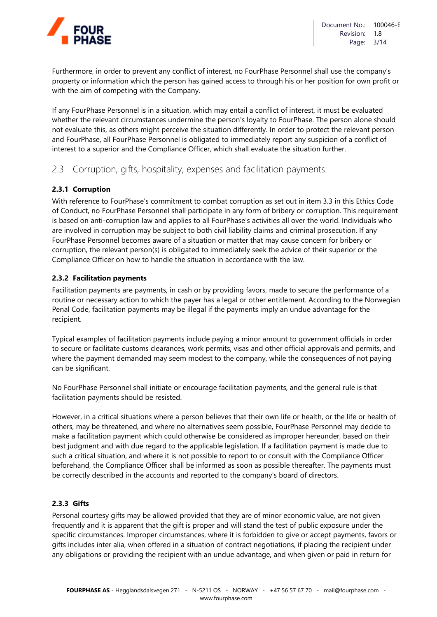

Furthermore, in order to prevent any conflict of interest, no FourPhase Personnel shall use the company's property or information which the person has gained access to through his or her position for own profit or with the aim of competing with the Company.

If any FourPhase Personnel is in a situation, which may entail a conflict of interest, it must be evaluated whether the relevant circumstances undermine the person's loyalty to FourPhase. The person alone should not evaluate this, as others might perceive the situation differently. In order to protect the relevant person and FourPhase, all FourPhase Personnel is obligated to immediately report any suspicion of a conflict of interest to a superior and the Compliance Officer, which shall evaluate the situation further.

# 2.3 Corruption, gifts, hospitality, expenses and facilitation payments.

#### **2.3.1 Corruption**

With reference to FourPhase's commitment to combat corruption as set out in item 3.3 in this Ethics Code of Conduct, no FourPhase Personnel shall participate in any form of bribery or corruption. This requirement is based on anti-corruption law and applies to all FourPhase's activities all over the world. Individuals who are involved in corruption may be subject to both civil liability claims and criminal prosecution. If any FourPhase Personnel becomes aware of a situation or matter that may cause concern for bribery or corruption, the relevant person(s) is obligated to immediately seek the advice of their superior or the Compliance Officer on how to handle the situation in accordance with the law.

#### **2.3.2 Facilitation payments**

Facilitation payments are payments, in cash or by providing favors, made to secure the performance of a routine or necessary action to which the payer has a legal or other entitlement. According to the Norwegian Penal Code, facilitation payments may be illegal if the payments imply an undue advantage for the recipient.

Typical examples of facilitation payments include paying a minor amount to government officials in order to secure or facilitate customs clearances, work permits, visas and other official approvals and permits, and where the payment demanded may seem modest to the company, while the consequences of not paying can be significant.

No FourPhase Personnel shall initiate or encourage facilitation payments, and the general rule is that facilitation payments should be resisted.

However, in a critical situations where a person believes that their own life or health, or the life or health of others, may be threatened, and where no alternatives seem possible, FourPhase Personnel may decide to make a facilitation payment which could otherwise be considered as improper hereunder, based on their best judgment and with due regard to the applicable legislation. If a facilitation payment is made due to such a critical situation, and where it is not possible to report to or consult with the Compliance Officer beforehand, the Compliance Officer shall be informed as soon as possible thereafter. The payments must be correctly described in the accounts and reported to the company's board of directors.

#### **2.3.3 Gifts**

Personal courtesy gifts may be allowed provided that they are of minor economic value, are not given frequently and it is apparent that the gift is proper and will stand the test of public exposure under the specific circumstances. Improper circumstances, where it is forbidden to give or accept payments, favors or gifts includes inter alia, when offered in a situation of contract negotiations, if placing the recipient under any obligations or providing the recipient with an undue advantage, and when given or paid in return for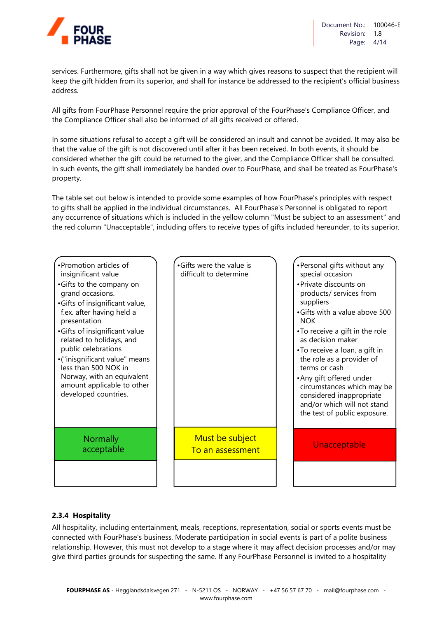

services. Furthermore, gifts shall not be given in a way which gives reasons to suspect that the recipient will keep the gift hidden from its superior, and shall for instance be addressed to the recipient's official business address.

All gifts from FourPhase Personnel require the prior approval of the FourPhase's Compliance Officer, and the Compliance Officer shall also be informed of all gifts received or offered.

In some situations refusal to accept a gift will be considered an insult and cannot be avoided. It may also be that the value of the gift is not discovered until after it has been received. In both events, it should be considered whether the gift could be returned to the giver, and the Compliance Officer shall be consulted. In such events, the gift shall immediately be handed over to FourPhase, and shall be treated as FourPhase's property.

The table set out below is intended to provide some examples of how FourPhase's principles with respect to gifts shall be applied in the individual circumstances. All FourPhase's Personnel is obligated to report any occurrence of situations which is included in the yellow column "Must be subject to an assessment" and the red column "Unacceptable", including offers to receive types of gifts included hereunder, to its superior.

| •Promotion articles of<br>insignificant value<br>•Gifts to the company on<br>grand occasions.<br>•Gifts of insignificant value,<br>f.ex. after having held a<br>presentation<br>•Gifts of insignificant value<br>related to holidays, and<br>public celebrations<br>•("inisgnificant value" means<br>less than 500 NOK in<br>Norway, with an equivalent<br>amount applicable to other<br>developed countries. | •Gifts were the value is<br>difficult to determine | •Personal gifts without any<br>special occasion<br>• Private discounts on<br>products/ services from<br>suppliers<br>•Gifts with a value above 500<br><b>NOK</b><br>•To receive a gift in the role<br>as decision maker<br>•To receive a loan, a gift in<br>the role as a provider of<br>terms or cash<br>•Any gift offered under<br>circumstances which may be<br>considered inappropriate<br>and/or which will not stand<br>the test of public exposure. |
|---------------------------------------------------------------------------------------------------------------------------------------------------------------------------------------------------------------------------------------------------------------------------------------------------------------------------------------------------------------------------------------------------------------|----------------------------------------------------|------------------------------------------------------------------------------------------------------------------------------------------------------------------------------------------------------------------------------------------------------------------------------------------------------------------------------------------------------------------------------------------------------------------------------------------------------------|
| <b>Normally</b><br>acceptable                                                                                                                                                                                                                                                                                                                                                                                 | Must be subject<br>To an assessment                | Unacceptable                                                                                                                                                                                                                                                                                                                                                                                                                                               |
|                                                                                                                                                                                                                                                                                                                                                                                                               |                                                    |                                                                                                                                                                                                                                                                                                                                                                                                                                                            |

#### **2.3.4 Hospitality**

All hospitality, including entertainment, meals, receptions, representation, social or sports events must be connected with FourPhase's business. Moderate participation in social events is part of a polite business relationship. However, this must not develop to a stage where it may affect decision processes and/or may give third parties grounds for suspecting the same. If any FourPhase Personnel is invited to a hospitality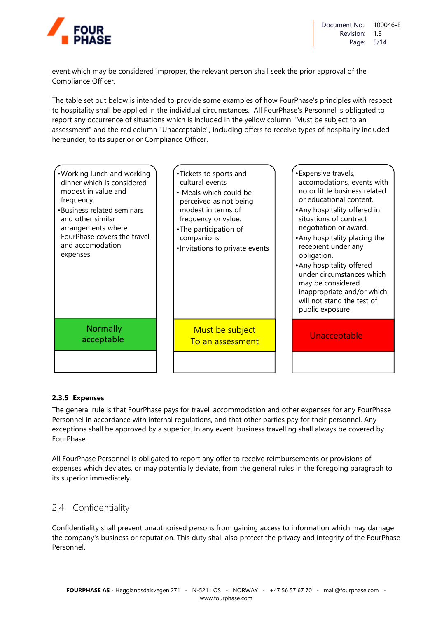

event which may be considered improper, the relevant person shall seek the prior approval of the Compliance Officer.

The table set out below is intended to provide some examples of how FourPhase's principles with respect to hospitality shall be applied in the individual circumstances. All FourPhase's Personnel is obligated to report any occurrence of situations which is included in the yellow column "Must be subject to an assessment" and the red column "Unacceptable", including offers to receive types of hospitality included hereunder, to its superior or Compliance Officer.



#### **2.3.5 Expenses**

The general rule is that FourPhase pays for travel, accommodation and other expenses for any FourPhase Personnel in accordance with internal regulations, and that other parties pay for their personnel. Any exceptions shall be approved by a superior. In any event, business travelling shall always be covered by FourPhase.

All FourPhase Personnel is obligated to report any offer to receive reimbursements or provisions of expenses which deviates, or may potentially deviate, from the general rules in the foregoing paragraph to its superior immediately.

# 2.4 Confidentiality

Confidentiality shall prevent unauthorised persons from gaining access to information which may damage the company's business or reputation. This duty shall also protect the privacy and integrity of the FourPhase Personnel.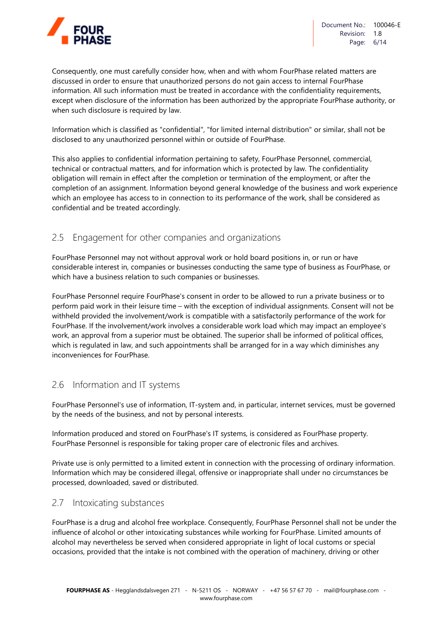

Consequently, one must carefully consider how, when and with whom FourPhase related matters are discussed in order to ensure that unauthorized persons do not gain access to internal FourPhase information. All such information must be treated in accordance with the confidentiality requirements, except when disclosure of the information has been authorized by the appropriate FourPhase authority, or when such disclosure is required by law.

Information which is classified as "confidential", "for limited internal distribution" or similar, shall not be disclosed to any unauthorized personnel within or outside of FourPhase.

This also applies to confidential information pertaining to safety, FourPhase Personnel, commercial, technical or contractual matters, and for information which is protected by law. The confidentiality obligation will remain in effect after the completion or termination of the employment, or after the completion of an assignment. Information beyond general knowledge of the business and work experience which an employee has access to in connection to its performance of the work, shall be considered as confidential and be treated accordingly.

# 2.5 Engagement for other companies and organizations

FourPhase Personnel may not without approval work or hold board positions in, or run or have considerable interest in, companies or businesses conducting the same type of business as FourPhase, or which have a business relation to such companies or businesses.

FourPhase Personnel require FourPhase's consent in order to be allowed to run a private business or to perform paid work in their leisure time – with the exception of individual assignments. Consent will not be withheld provided the involvement/work is compatible with a satisfactorily performance of the work for FourPhase. If the involvement/work involves a considerable work load which may impact an employee's work, an approval from a superior must be obtained. The superior shall be informed of political offices, which is regulated in law, and such appointments shall be arranged for in a way which diminishes any inconveniences for FourPhase.

# 2.6 Information and IT systems

FourPhase Personnel's use of information, IT-system and, in particular, internet services, must be governed by the needs of the business, and not by personal interests.

Information produced and stored on FourPhase's IT systems, is considered as FourPhase property. FourPhase Personnel is responsible for taking proper care of electronic files and archives.

Private use is only permitted to a limited extent in connection with the processing of ordinary information. Information which may be considered illegal, offensive or inappropriate shall under no circumstances be processed, downloaded, saved or distributed.

# 2.7 Intoxicating substances

FourPhase is a drug and alcohol free workplace. Consequently, FourPhase Personnel shall not be under the influence of alcohol or other intoxicating substances while working for FourPhase. Limited amounts of alcohol may nevertheless be served when considered appropriate in light of local customs or special occasions, provided that the intake is not combined with the operation of machinery, driving or other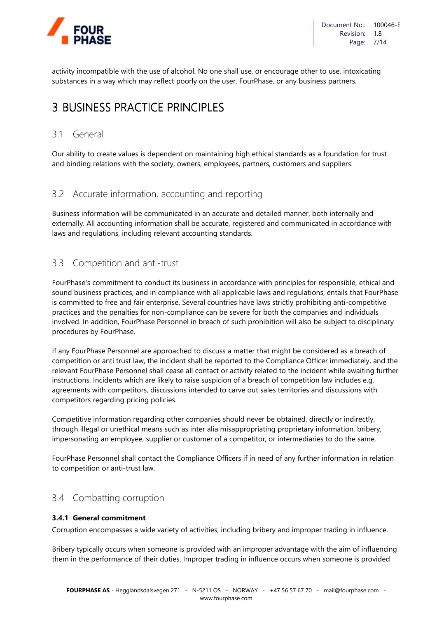

activity incompatible with the use of alcohol. No one shall use, or encourage other to use, intoxicating substances in a way which may reflect poorly on the user, FourPhase, or any business partners.

# 3 BUSINESS PRACTICE PRINCIPLES

# 3.1 General

Our ability to create values is dependent on maintaining high ethical standards as a foundation for trust and binding relations with the society, owners, employees, partners, customers and suppliers.

# 3.2 Accurate information, accounting and reporting

Business information will be communicated in an accurate and detailed manner, both internally and externally. All accounting information shall be accurate, registered and communicated in accordance with laws and regulations, including relevant accounting standards.

# 3.3 Competition and anti-trust

FourPhase's commitment to conduct its business in accordance with principles for responsible, ethical and sound business practices, and in compliance with all applicable laws and regulations, entails that FourPhase is committed to free and fair enterprise. Several countries have laws strictly prohibiting anti-competitive practices and the penalties for non-compliance can be severe for both the companies and individuals involved. In addition, FourPhase Personnel in breach of such prohibition will also be subject to disciplinary procedures by FourPhase.

If any FourPhase Personnel are approached to discuss a matter that might be considered as a breach of competition or anti trust law, the incident shall be reported to the Compliance Officer immediately, and the relevant FourPhase Personnel shall cease all contact or activity related to the incident while awaiting further instructions. Incidents which are likely to raise suspicion of a breach of competition law includes e.g. agreements with competitors, discussions intended to carve out sales territories and discussions with competitors regarding pricing policies.

Competitive information regarding other companies should never be obtained, directly or indirectly, through illegal or unethical means such as inter alia misappropriating proprietary information, bribery, impersonating an employee, supplier or customer of a competitor, or intermediaries to do the same.

FourPhase Personnel shall contact the Compliance Officers if in need of any further information in relation to competition or anti-trust law.

# 3.4 Combatting corruption

#### **3.4.1 General commitment**

Corruption encompasses a wide variety of activities, including bribery and improper trading in influence.

Bribery typically occurs when someone is provided with an improper advantage with the aim of influencing them in the performance of their duties. Improper trading in influence occurs when someone is provided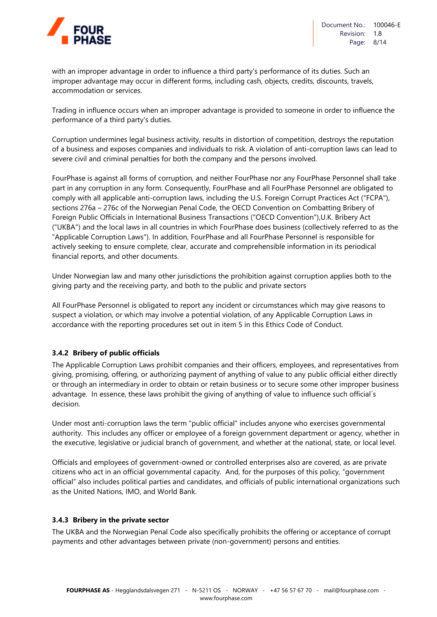

with an improper advantage in order to influence a third party's performance of its duties. Such an improper advantage may occur in different forms, including cash, objects, credits, discounts, travels, accommodation or services.

Trading in influence occurs when an improper advantage is provided to someone in order to influence the performance of a third party's duties.

Corruption undermines legal business activity, results in distortion of competition, destroys the reputation of a business and exposes companies and individuals to risk. A violation of anti-corruption laws can lead to severe civil and criminal penalties for both the company and the persons involved.

FourPhase is against all forms of corruption, and neither FourPhase nor any FourPhase Personnel shall take part in any corruption in any form. Consequently, FourPhase and all FourPhase Personnel are obligated to comply with all applicable anti-corruption laws, including the U.S. Foreign Corrupt Practices Act ("FCPA"), sections 276a – 276c of the Norwegian Penal Code, the OECD Convention on Combatting Bribery of Foreign Public Officials in International Business Transactions ("OECD Convention"),U.K. Bribery Act ("UKBA") and the local laws in all countries in which FourPhase does business (collectively referred to as the "Applicable Corruption Laws"). In addition, FourPhase and all FourPhase Personnel is responsible for actively seeking to ensure complete, clear, accurate and comprehensible information in its periodical financial reports, and other documents.

Under Norwegian law and many other jurisdictions the prohibition against corruption applies both to the giving party and the receiving party, and both to the public and private sectors

All FourPhase Personnel is obligated to report any incident or circumstances which may give reasons to suspect a violation, or which may involve a potential violation, of any Applicable Corruption Laws in accordance with the reporting procedures set out in item 5 in this Ethics Code of Conduct.

#### **3.4.2 Bribery of public officials**

The Applicable Corruption Laws prohibit companies and their officers, employees, and representatives from giving, promising, offering, or authorizing payment of anything of value to any public official either directly or through an intermediary in order to obtain or retain business or to secure some other improper business advantage. In essence, these laws prohibit the giving of anything of value to influence such official´s decision.

Under most anti-corruption laws the term "public official" includes anyone who exercises governmental authority. This includes any officer or employee of a foreign government department or agency, whether in the executive, legislative or judicial branch of government, and whether at the national, state, or local level.

Officials and employees of government-owned or controlled enterprises also are covered, as are private citizens who act in an official governmental capacity. And, for the purposes of this policy, "government official" also includes political parties and candidates, and officials of public international organizations such as the United Nations, IMO, and World Bank.

#### **3.4.3 Bribery in the private sector**

The UKBA and the Norwegian Penal Code also specifically prohibits the offering or acceptance of corrupt payments and other advantages between private (non-government) persons and entities.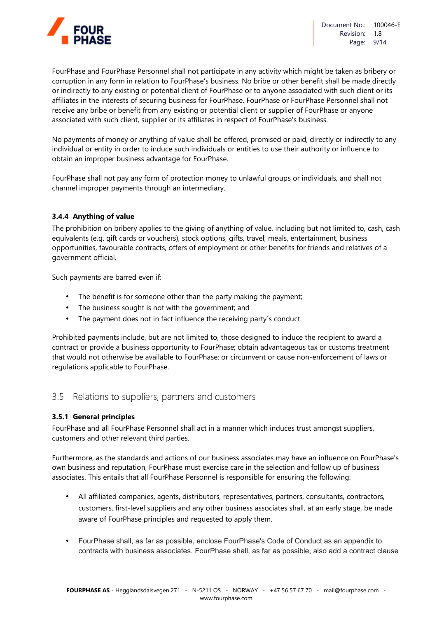

FourPhase and FourPhase Personnel shall not participate in any activity which might be taken as bribery or corruption in any form in relation to FourPhase's business. No bribe or other benefit shall be made directly or indirectly to any existing or potential client of FourPhase or to anyone associated with such client or its affiliates in the interests of securing business for FourPhase. FourPhase or FourPhase Personnel shall not receive any bribe or benefit from any existing or potential client or supplier of FourPhase or anyone associated with such client, supplier or its affiliates in respect of FourPhase's business.

No payments of money or anything of value shall be offered, promised or paid, directly or indirectly to any individual or entity in order to induce such individuals or entities to use their authority or influence to obtain an improper business advantage for FourPhase.

FourPhase shall not pay any form of protection money to unlawful groups or individuals, and shall not channel improper payments through an intermediary.

#### **3.4.4 Anything of value**

The prohibition on bribery applies to the giving of anything of value, including but not limited to, cash, cash equivalents (e.g. gift cards or vouchers), stock options, gifts, travel, meals, entertainment, business opportunities, favourable contracts, offers of employment or other benefits for friends and relatives of a government official.

Such payments are barred even if:

- The benefit is for someone other than the party making the payment;
- The business sought is not with the government; and
- The payment does not in fact influence the receiving party´s conduct.

Prohibited payments include, but are not limited to, those designed to induce the recipient to award a contract or provide a business opportunity to FourPhase; obtain advantageous tax or customs treatment that would not otherwise be available to FourPhase; or circumvent or cause non-enforcement of laws or regulations applicable to FourPhase.

#### 3.5 Relations to suppliers, partners and customers

#### **3.5.1 General principles**

FourPhase and all FourPhase Personnel shall act in a manner which induces trust amongst suppliers, customers and other relevant third parties.

Furthermore, as the standards and actions of our business associates may have an influence on FourPhase's own business and reputation, FourPhase must exercise care in the selection and follow up of business associates. This entails that all FourPhase Personnel is responsible for ensuring the following:

- All affiliated companies, agents, distributors, representatives, partners, consultants, contractors, customers, first-level suppliers and any other business associates shall, at an early stage, be made aware of FourPhase principles and requested to apply them.
- FourPhase shall, as far as possible, enclose FourPhase's Code of Conduct as an appendix to contracts with business associates. FourPhase shall, as far as possible, also add a contract clause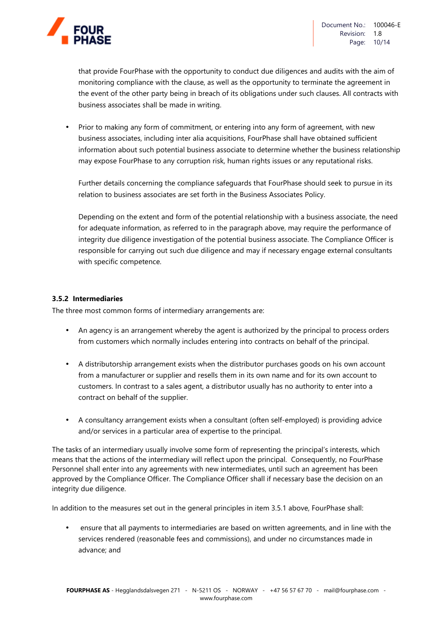

that provide FourPhase with the opportunity to conduct due diligences and audits with the aim of monitoring compliance with the clause, as well as the opportunity to terminate the agreement in the event of the other party being in breach of its obligations under such clauses. All contracts with business associates shall be made in writing.

• Prior to making any form of commitment, or entering into any form of agreement, with new business associates, including inter alia acquisitions, FourPhase shall have obtained sufficient information about such potential business associate to determine whether the business relationship may expose FourPhase to any corruption risk, human rights issues or any reputational risks.

Further details concerning the compliance safeguards that FourPhase should seek to pursue in its relation to business associates are set forth in the Business Associates Policy.

Depending on the extent and form of the potential relationship with a business associate, the need for adequate information, as referred to in the paragraph above, may require the performance of integrity due diligence investigation of the potential business associate. The Compliance Officer is responsible for carrying out such due diligence and may if necessary engage external consultants with specific competence.

#### **3.5.2 Intermediaries**

The three most common forms of intermediary arrangements are:

- An agency is an arrangement whereby the agent is authorized by the principal to process orders from customers which normally includes entering into contracts on behalf of the principal.
- A distributorship arrangement exists when the distributor purchases goods on his own account from a manufacturer or supplier and resells them in its own name and for its own account to customers. In contrast to a sales agent, a distributor usually has no authority to enter into a contract on behalf of the supplier.
- A consultancy arrangement exists when a consultant (often self-employed) is providing advice and/or services in a particular area of expertise to the principal.

The tasks of an intermediary usually involve some form of representing the principal's interests, which means that the actions of the intermediary will reflect upon the principal. Consequently, no FourPhase Personnel shall enter into any agreements with new intermediates, until such an agreement has been approved by the Compliance Officer. The Compliance Officer shall if necessary base the decision on an integrity due diligence.

In addition to the measures set out in the general principles in item 3.5.1 above, FourPhase shall:

• ensure that all payments to intermediaries are based on written agreements, and in line with the services rendered (reasonable fees and commissions), and under no circumstances made in advance; and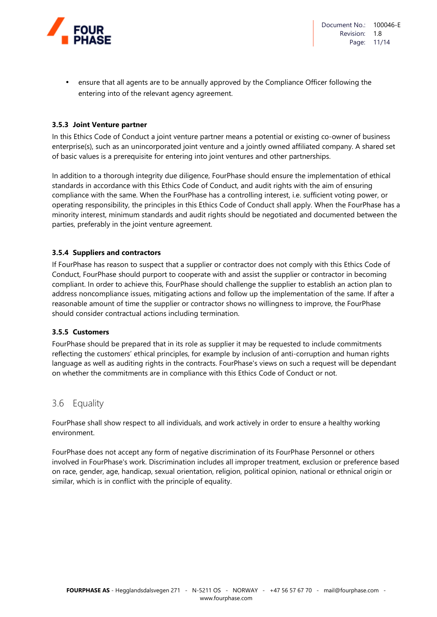

• ensure that all agents are to be annually approved by the Compliance Officer following the entering into of the relevant agency agreement.

#### **3.5.3 Joint Venture partner**

In this Ethics Code of Conduct a joint venture partner means a potential or existing co-owner of business enterprise(s), such as an unincorporated joint venture and a jointly owned affiliated company. A shared set of basic values is a prerequisite for entering into joint ventures and other partnerships.

In addition to a thorough integrity due diligence, FourPhase should ensure the implementation of ethical standards in accordance with this Ethics Code of Conduct, and audit rights with the aim of ensuring compliance with the same. When the FourPhase has a controlling interest, i.e. sufficient voting power, or operating responsibility, the principles in this Ethics Code of Conduct shall apply. When the FourPhase has a minority interest, minimum standards and audit rights should be negotiated and documented between the parties, preferably in the joint venture agreement.

#### **3.5.4 Suppliers and contractors**

If FourPhase has reason to suspect that a supplier or contractor does not comply with this Ethics Code of Conduct, FourPhase should purport to cooperate with and assist the supplier or contractor in becoming compliant. In order to achieve this, FourPhase should challenge the supplier to establish an action plan to address noncompliance issues, mitigating actions and follow up the implementation of the same. If after a reasonable amount of time the supplier or contractor shows no willingness to improve, the FourPhase should consider contractual actions including termination.

#### **3.5.5 Customers**

FourPhase should be prepared that in its role as supplier it may be requested to include commitments reflecting the customers' ethical principles, for example by inclusion of anti-corruption and human rights language as well as auditing rights in the contracts. FourPhase's views on such a request will be dependant on whether the commitments are in compliance with this Ethics Code of Conduct or not.

#### 3.6 Equality

FourPhase shall show respect to all individuals, and work actively in order to ensure a healthy working environment.

FourPhase does not accept any form of negative discrimination of its FourPhase Personnel or others involved in FourPhase's work. Discrimination includes all improper treatment, exclusion or preference based on race, gender, age, handicap, sexual orientation, religion, political opinion, national or ethnical origin or similar, which is in conflict with the principle of equality.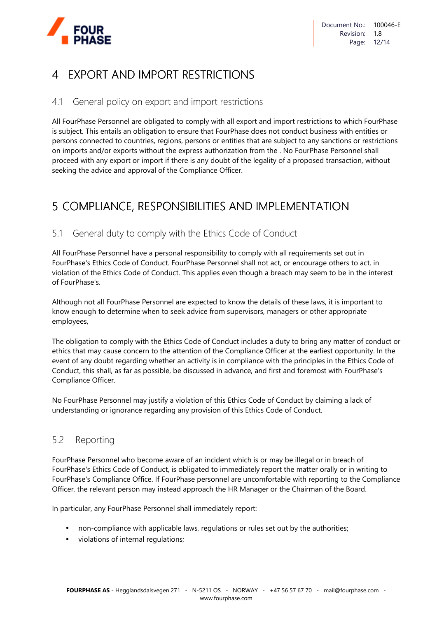

# 4 EXPORT AND IMPORT RESTRICTIONS

# 4.1 General policy on export and import restrictions

All FourPhase Personnel are obligated to comply with all export and import restrictions to which FourPhase is subject. This entails an obligation to ensure that FourPhase does not conduct business with entities or persons connected to countries, regions, persons or entities that are subject to any sanctions or restrictions on imports and/or exports without the express authorization from the . No FourPhase Personnel shall proceed with any export or import if there is any doubt of the legality of a proposed transaction, without seeking the advice and approval of the Compliance Officer.

# 5 COMPLIANCE, RESPONSIBILITIES AND IMPLEMENTATION

# 5.1 General duty to comply with the Ethics Code of Conduct

All FourPhase Personnel have a personal responsibility to comply with all requirements set out in FourPhase's Ethics Code of Conduct. FourPhase Personnel shall not act, or encourage others to act, in violation of the Ethics Code of Conduct. This applies even though a breach may seem to be in the interest of FourPhase's.

Although not all FourPhase Personnel are expected to know the details of these laws, it is important to know enough to determine when to seek advice from supervisors, managers or other appropriate employees,

The obligation to comply with the Ethics Code of Conduct includes a duty to bring any matter of conduct or ethics that may cause concern to the attention of the Compliance Officer at the earliest opportunity. In the event of any doubt regarding whether an activity is in compliance with the principles in the Ethics Code of Conduct, this shall, as far as possible, be discussed in advance, and first and foremost with FourPhase's Compliance Officer.

No FourPhase Personnel may justify a violation of this Ethics Code of Conduct by claiming a lack of understanding or ignorance regarding any provision of this Ethics Code of Conduct.

# 5.2 Reporting

FourPhase Personnel who become aware of an incident which is or may be illegal or in breach of FourPhase's Ethics Code of Conduct, is obligated to immediately report the matter orally or in writing to FourPhase's Compliance Office. If FourPhase personnel are uncomfortable with reporting to the Compliance Officer, the relevant person may instead approach the HR Manager or the Chairman of the Board.

In particular, any FourPhase Personnel shall immediately report:

- non-compliance with applicable laws, regulations or rules set out by the authorities;
- violations of internal regulations;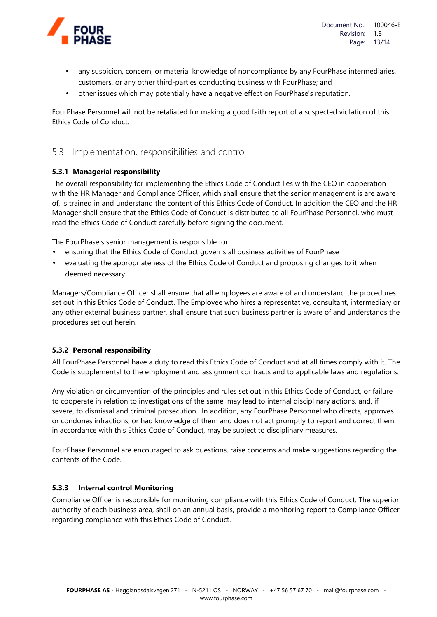

- any suspicion, concern, or material knowledge of noncompliance by any FourPhase intermediaries, customers, or any other third-parties conducting business with FourPhase; and
- other issues which may potentially have a negative effect on FourPhase's reputation.

FourPhase Personnel will not be retaliated for making a good faith report of a suspected violation of this Ethics Code of Conduct.

### 5.3 Implementation, responsibilities and control

#### **5.3.1 Managerial responsibility**

The overall responsibility for implementing the Ethics Code of Conduct lies with the CEO in cooperation with the HR Manager and Compliance Officer, which shall ensure that the senior management is are aware of, is trained in and understand the content of this Ethics Code of Conduct. In addition the CEO and the HR Manager shall ensure that the Ethics Code of Conduct is distributed to all FourPhase Personnel, who must read the Ethics Code of Conduct carefully before signing the document.

The FourPhase's senior management is responsible for:

- ensuring that the Ethics Code of Conduct governs all business activities of FourPhase
- evaluating the appropriateness of the Ethics Code of Conduct and proposing changes to it when deemed necessary.

Managers/Compliance Officer shall ensure that all employees are aware of and understand the procedures set out in this Ethics Code of Conduct. The Employee who hires a representative, consultant, intermediary or any other external business partner, shall ensure that such business partner is aware of and understands the procedures set out herein.

#### **5.3.2 Personal responsibility**

All FourPhase Personnel have a duty to read this Ethics Code of Conduct and at all times comply with it. The Code is supplemental to the employment and assignment contracts and to applicable laws and regulations.

Any violation or circumvention of the principles and rules set out in this Ethics Code of Conduct, or failure to cooperate in relation to investigations of the same, may lead to internal disciplinary actions, and, if severe, to dismissal and criminal prosecution. In addition, any FourPhase Personnel who directs, approves or condones infractions, or had knowledge of them and does not act promptly to report and correct them in accordance with this Ethics Code of Conduct, may be subject to disciplinary measures.

FourPhase Personnel are encouraged to ask questions, raise concerns and make suggestions regarding the contents of the Code.

#### **5.3.3 Internal control Monitoring**

Compliance Officer is responsible for monitoring compliance with this Ethics Code of Conduct. The superior authority of each business area, shall on an annual basis, provide a monitoring report to Compliance Officer regarding compliance with this Ethics Code of Conduct.